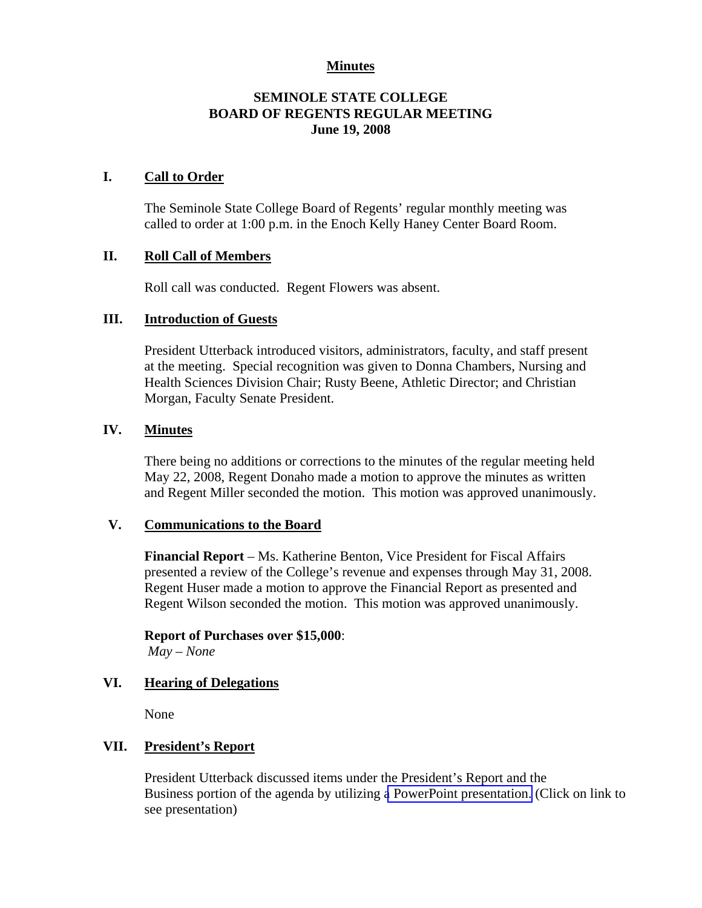### **Minutes**

# **SEMINOLE STATE COLLEGE BOARD OF REGENTS REGULAR MEETING June 19, 2008**

### **I. Call to Order**

The Seminole State College Board of Regents' regular monthly meeting was called to order at 1:00 p.m. in the Enoch Kelly Haney Center Board Room.

# **II. Roll Call of Members**

Roll call was conducted. Regent Flowers was absent.

# **III. Introduction of Guests**

President Utterback introduced visitors, administrators, faculty, and staff present at the meeting. Special recognition was given to Donna Chambers, Nursing and Health Sciences Division Chair; Rusty Beene, Athletic Director; and Christian Morgan, Faculty Senate President.

# **IV. Minutes**

There being no additions or corrections to the minutes of the regular meeting held May 22, 2008, Regent Donaho made a motion to approve the minutes as written and Regent Miller seconded the motion. This motion was approved unanimously.

### **V. Communications to the Board**

**Financial Report** – Ms. Katherine Benton, Vice President for Fiscal Affairs presented a review of the College's revenue and expenses through May 31, 2008. Regent Huser made a motion to approve the Financial Report as presented and Regent Wilson seconded the motion. This motion was approved unanimously.

# **Report of Purchases over \$15,000**:

*May – None*

### **VI. Hearing of Delegations**

None

# **VII. President's Report**

President Utterback discussed items under the President's Report and the Business portion of the agenda by utilizing a PowerPoint presentation. (Click on link to see presentation)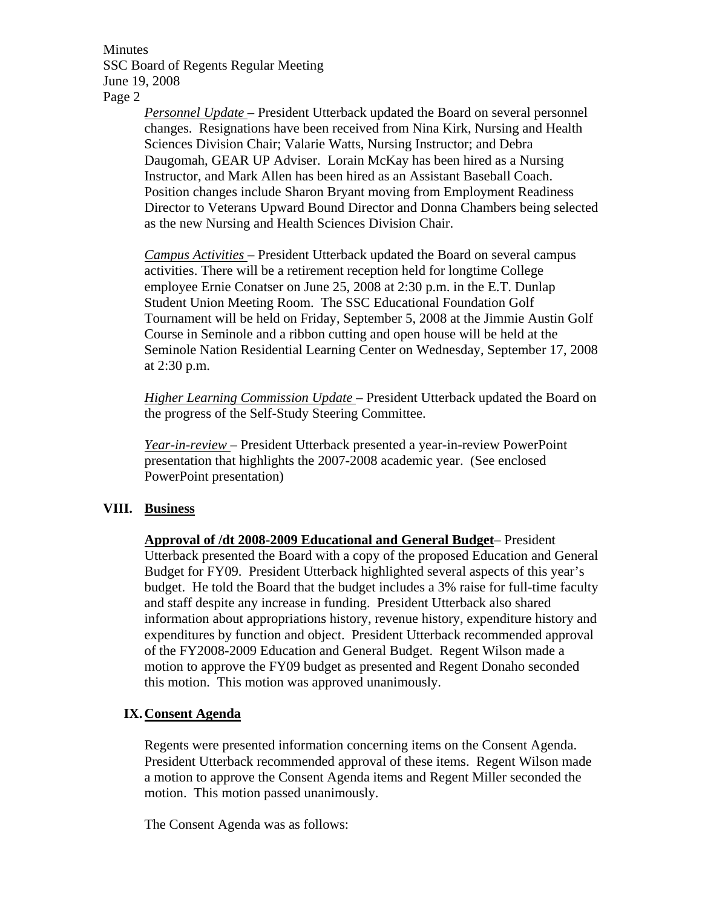Minutes SSC Board of Regents Regular Meeting June 19, 2008 Page 2

> *Personnel Update* – President Utterback updated the Board on several personnel changes. Resignations have been received from Nina Kirk, Nursing and Health Sciences Division Chair; Valarie Watts, Nursing Instructor; and Debra Daugomah, GEAR UP Adviser. Lorain McKay has been hired as a Nursing Instructor, and Mark Allen has been hired as an Assistant Baseball Coach. Position changes include Sharon Bryant moving from Employment Readiness Director to Veterans Upward Bound Director and Donna Chambers being selected as the new Nursing and Health Sciences Division Chair.

> *Campus Activities* – President Utterback updated the Board on several campus activities. There will be a retirement reception held for longtime College employee Ernie Conatser on June 25, 2008 at 2:30 p.m. in the E.T. Dunlap Student Union Meeting Room. The SSC Educational Foundation Golf Tournament will be held on Friday, September 5, 2008 at the Jimmie Austin Golf Course in Seminole and a ribbon cutting and open house will be held at the Seminole Nation Residential Learning Center on Wednesday, September 17, 2008 at 2:30 p.m.

> *Higher Learning Commission Update* – President Utterback updated the Board on the progress of the Self-Study Steering Committee.

*Year-in-review* – President Utterback presented a year-in-review PowerPoint presentation that highlights the 2007-2008 academic year. (See enclosed PowerPoint presentation)

### **VIII. Business**

**Approval of /dt 2008-2009 Educational and General Budget**– President Utterback presented the Board with a copy of the proposed Education and General Budget for FY09. President Utterback highlighted several aspects of this year's budget. He told the Board that the budget includes a 3% raise for full-time faculty and staff despite any increase in funding. President Utterback also shared information about appropriations history, revenue history, expenditure history and expenditures by function and object. President Utterback recommended approval of the FY2008-2009 Education and General Budget. Regent Wilson made a motion to approve the FY09 budget as presented and Regent Donaho seconded this motion. This motion was approved unanimously.

### **IX.Consent Agenda**

Regents were presented information concerning items on the Consent Agenda. President Utterback recommended approval of these items. Regent Wilson made a motion to approve the Consent Agenda items and Regent Miller seconded the motion. This motion passed unanimously.

The Consent Agenda was as follows: